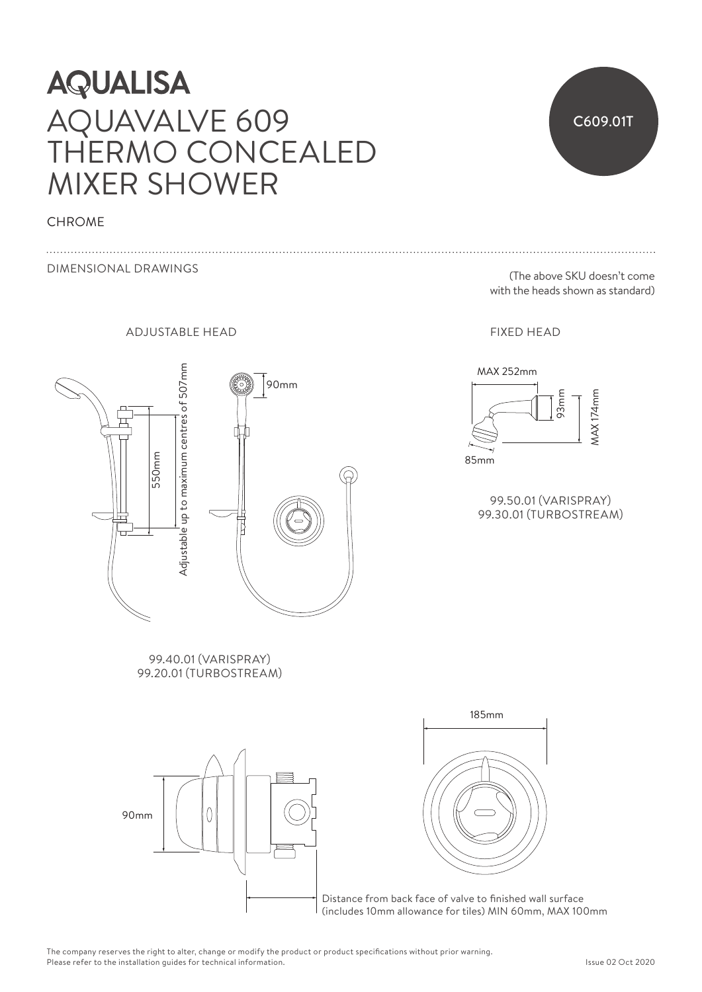## **AQUALISA** AQUAVALVE 609 THERMO CONCEALED MIXER SHOWER

## **CHROME**

DIMENSIONAL DRAWINGS

ADJUSTABLE HEAD FIXED HEAD



99.40.01 (VARISPRAY) 99.20.01 (TURBOSTREAM)





Distance from back face of valve to finished wall surface (includes 10mm allowance for tiles) MIN 60mm, MAX 100mm

C609.01T

(The above SKU doesn't come with the heads shown as standard)



99.50.01 (VARISPRAY) 99.30.01 (TURBOSTREAM)

The company reserves the right to alter, change or modify the product or product specifications without prior warning. Please refer to the installation guides for technical information.